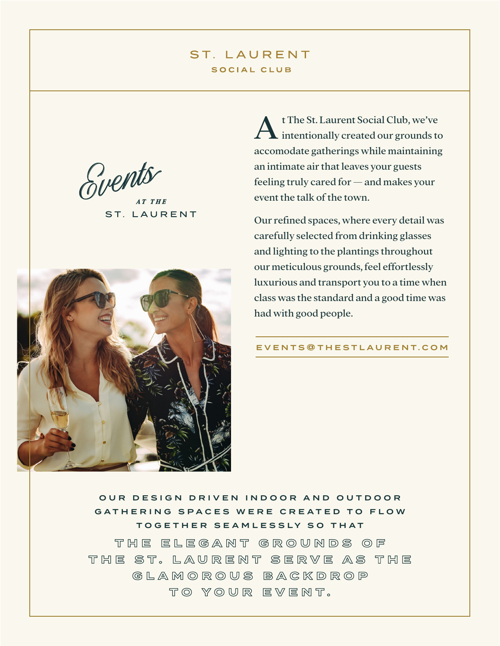# ST. LAURENT SOCIAL CLUB

Svents

ST. LAURENT



At The St. Laurent Social Club, we've intentionally created our grounds to accomodate gatherings while maintaining an intimate air that leaves your guests feeling truly cared for — and makes your event the talk of the town.

Our refined spaces, where every detail was carefully selected from drinking glasses and lighting to the plantings throughout our meticulous grounds, feel effortlessly luxurious and transport you to a time when class was the standard and a good time was had with good people.

EVENTS @ T H E S T L A U R E N T . C O M

OUR DESIGN DRIVEN INDOOR AND OUTDOOR GATHERING SPACES WERE CREATED TO FLOW TOGETHER SEAMLESSLY SO THAT **T H E E L E G A N T G R O U N D S O F T H E S T . L A U R E N T S E R V E A S T H E G L A M O R O U S B A C K D R O P TO YOUR EVENT.**